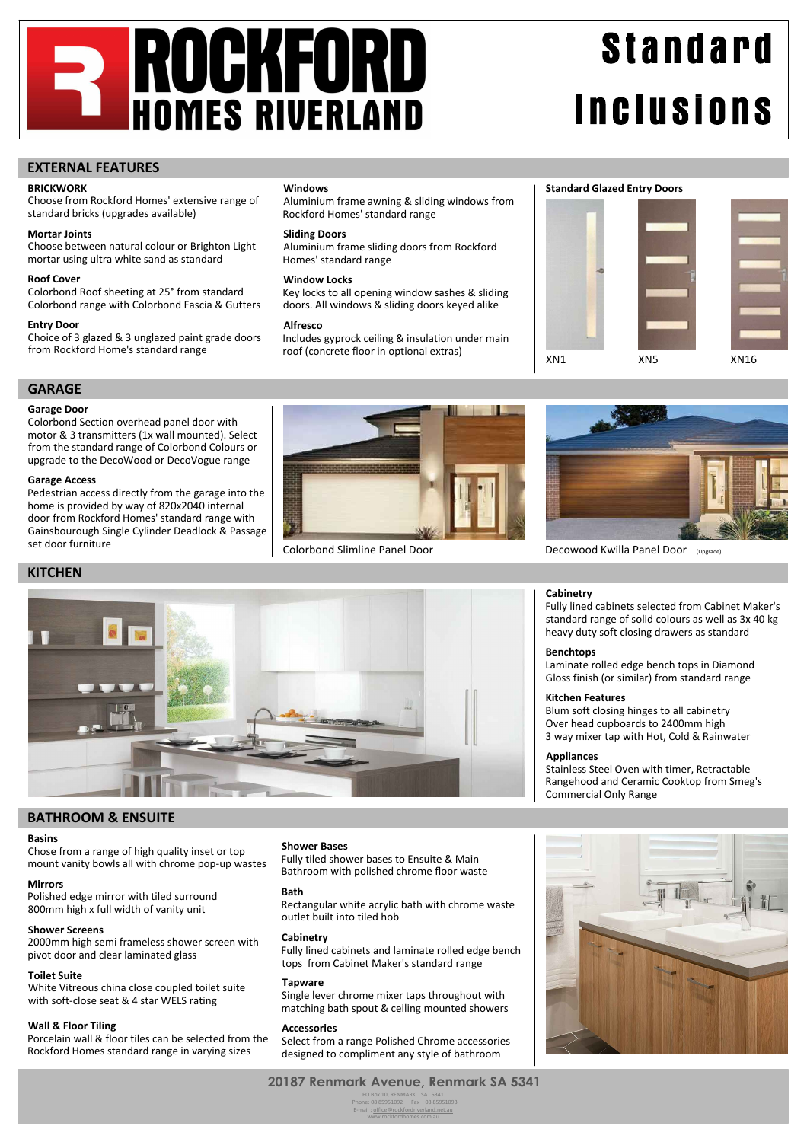# **ROGKFORD HOMES RIVERLAND**

# **Standard Inclusions**

## **EXTERNAL FEATURES**

## **BRICKWORK**

Choose from Rockford Homes' extensive range of standard bricks (upgrades available)

## **Mortar Joints**

Choose between natural colour or Brighton Light mortar using ultra white sand as standard

## **Roof Cover**

Colorbond Roof sheeting at 25° from standard Colorbond range with Colorbond Fascia & Gutters

#### **Entry Door**

Choice of 3 glazed & 3 unglazed paint grade doors from Rockford Home's standard range

## **Windows**

Aluminium frame awning & sliding windows from Rockford Homes' standard range

#### **Sliding Doors**

Aluminium frame sliding doors from Rockford Homes' standard range

#### **Window Locks**

Key locks to all opening window sashes & sliding doors. All windows & sliding doors keyed alike

#### **Alfresco**

Includes gyprock ceiling & insulation under main roof (concrete floor in optional extras)





## **GARAGE Garage Door**

Colorbond Section overhead panel door with motor & 3 transmitters (1x wall mounted). Select from the standard range of Colorbond Colours or upgrade to the DecoWood or DecoVogue range

## **Garage Access**

Pedestrian access directly from the garage into the home is provided by way of 820x2040 internal door from Rockford Homes' standard range with Gainsbourough Single Cylinder Deadlock & Passage set door furniture





Fully lined cabinets selected from Cabinet Maker's standard range of solid colours as well as 3x 40 kg heavy duty soft closing drawers as standard

Laminate rolled edge bench tops in Diamond Gloss finish (or similar) from standard range

Stainless Steel Oven with timer, Retractable Rangehood and Ceramic Cooktop from Smeg's

Blum soft closing hinges to all cabinetry Over head cupboards to 2400mm high 3 way mixer tap with Hot, Cold & Rainwater

Colorbond Slimline Panel Door **Decowood Kwilla Panel Door** (Upgrade)

**Cabinetry**

**Benchtops**

**Appliances**

**Kitchen Features**

Commercial Only Range

## **KITCHEN**



## **BATHROOM & ENSUITE**

## **Basins**

Chose from a range of high quality inset or top mount vanity bowls all with chrome pop-up wastes

## **Mirrors**

Polished edge mirror with tiled surround 800mm high x full width of vanity unit

## **Shower Screens**

2000mm high semi frameless shower screen with pivot door and clear laminated glass

## **Toilet Suite**

White Vitreous china close coupled toilet suite with soft-close seat & 4 star WELS rating

## **Wall & Floor Tiling**

Porcelain wall & floor tiles can be selected from the Rockford Homes standard range in varying sizes

#### **Shower Bases**

Fully tiled shower bases to Ensuite & Main Bathroom with polished chrome floor waste

#### **Bath**

Rectangular white acrylic bath with chrome waste outlet built into tiled hob

#### **Cabinetry**

Fully lined cabinets and laminate rolled edge bench tops from Cabinet Maker's standard range

#### **Tapware**

Single lever chrome mixer taps throughout with matching bath spout & ceiling mounted showers

## **Accessories**

Select from a range Polished Chrome accessories designed to compliment any style of bathroom

www.rockfordhomes.com.au